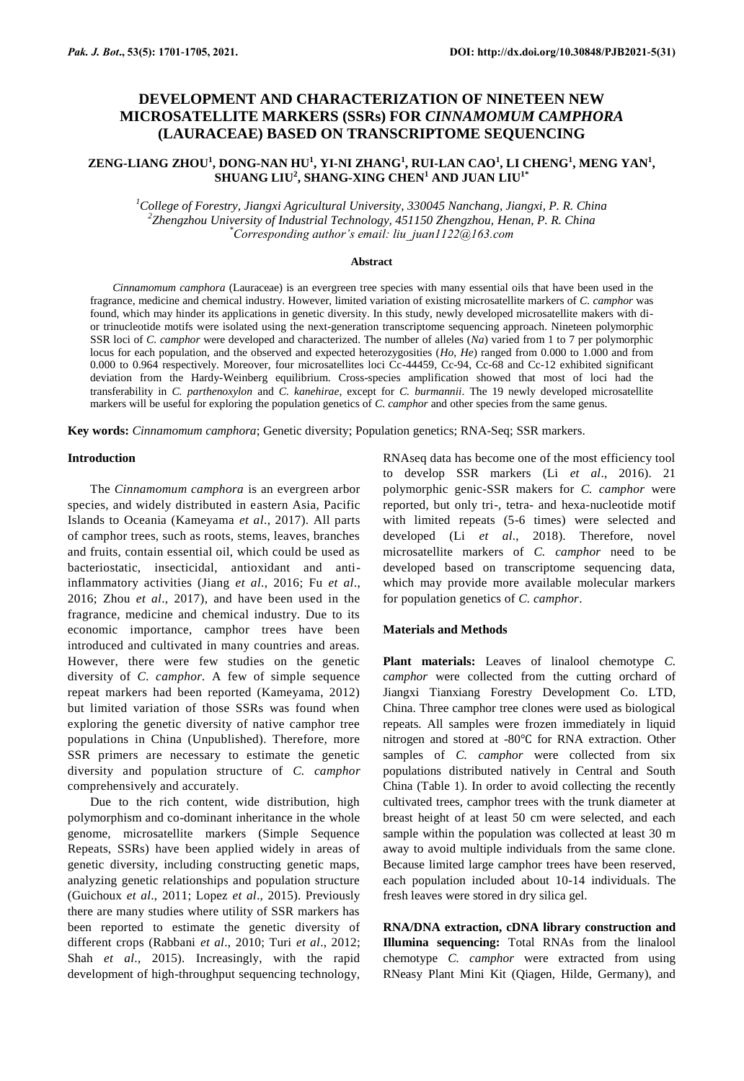# **DEVELOPMENT AND CHARACTERIZATION OF NINETEEN NEW MICROSATELLITE MARKERS (SSRs) FOR** *CINNAMOMUM CAMPHORA* **(LAURACEAE) BASED ON TRANSCRIPTOME SEQUENCING**

## **ZENG-LIANG ZHOU<sup>1</sup> , DONG-NAN HU<sup>1</sup> , YI-NI ZHANG<sup>1</sup> , RUI-LAN CAO<sup>1</sup> , LI CHENG<sup>1</sup> , MENG YAN<sup>1</sup> , SHUANG LIU<sup>2</sup> , SHANG-XING CHEN<sup>1</sup> AND JUAN LIU1\***

*<sup>1</sup>College of Forestry, Jiangxi Agricultural University, 330045 Nanchang, Jiangxi, P. R. China 2 Zhengzhou University of Industrial Technology, 451150 Zhengzhou, Henan, P. R. China \*Corresponding author's email: liu\_juan1122@163.com*

#### **Abstract**

*Cinnamomum camphora* (Lauraceae) is an evergreen tree species with many essential oils that have been used in the fragrance, medicine and chemical industry. However, limited variation of existing microsatellite markers of *C. camphor* was found, which may hinder its applications in genetic diversity. In this study, newly developed microsatellite makers with dior trinucleotide motifs were isolated using the next-generation transcriptome sequencing approach. Nineteen polymorphic SSR loci of *C. camphor* were developed and characterized. The number of alleles (*Na*) varied from 1 to 7 per polymorphic locus for each population, and the observed and expected heterozygosities (*Ho*, *He*) ranged from 0.000 to 1.000 and from 0.000 to 0.964 respectively. Moreover, four microsatellites loci Cc-44459, Cc-94, Cc-68 and Cc-12 exhibited significant deviation from the Hardy-Weinberg equilibrium. Cross-species amplification showed that most of loci had the transferability in *C. parthenoxylon* and *C. kanehirae*, except for *C. burmannii*. The 19 newly developed microsatellite markers will be useful for exploring the population genetics of *C. camphor* and other species from the same genus.

**Key words:** *Cinnamomum camphora*; Genetic diversity; Population genetics; RNA-Seq; SSR markers.

## **Introduction**

The *Cinnamomum camphora* is an evergreen arbor species, and widely distributed in eastern Asia, Pacific Islands to Oceania (Kameyama *et al*., 2017). All parts of camphor trees, such as roots, stems, leaves, branches and fruits, contain essential oil, which could be used as bacteriostatic, insecticidal, antioxidant and antiinflammatory activities (Jiang *et al*., 2016; Fu *et al*., 2016; Zhou *et al*., 2017), and have been used in the fragrance, medicine and chemical industry. Due to its economic importance, camphor trees have been introduced and cultivated in many countries and areas. However, there were few studies on the genetic diversity of *C. camphor.* A few of simple sequence repeat markers had been reported (Kameyama, 2012) but limited variation of those SSRs was found when exploring the genetic diversity of native camphor tree populations in China (Unpublished). Therefore, more SSR primers are necessary to estimate the genetic diversity and population structure of *C. camphor*  comprehensively and accurately.

Due to the rich content, wide distribution, high polymorphism and co-dominant inheritance in the whole genome, microsatellite markers (Simple Sequence Repeats, SSRs) have been applied widely in areas of genetic diversity, including constructing genetic maps, analyzing genetic relationships and population structure (Guichoux *et al*., 2011; Lopez *et al*., 2015). Previously there are many studies where utility of SSR markers has been reported to estimate the genetic diversity of different crops (Rabbani *et al*., 2010; Turi *et al*., 2012; Shah *et al*., 2015). Increasingly, with the rapid development of high-throughput sequencing technology, RNAseq data has become one of the most efficiency tool to develop SSR markers (Li *et al*., 2016). 21 polymorphic genic-SSR makers for *C. camphor* were reported, but only tri-, tetra- and hexa-nucleotide motif with limited repeats (5-6 times) were selected and developed (Li *et al*., 2018). Therefore, novel microsatellite markers of *C. camphor* need to be developed based on transcriptome sequencing data, which may provide more available molecular markers for population genetics of *C. camphor*.

#### **Materials and Methods**

**Plant materials:** Leaves of linalool chemotype *C. camphor* were collected from the cutting orchard of Jiangxi Tianxiang Forestry Development Co. LTD, China. Three camphor tree clones were used as biological repeats. All samples were frozen immediately in liquid nitrogen and stored at -80℃ for RNA extraction. Other samples of *C. camphor* were collected from six populations distributed natively in Central and South China (Table 1). In order to avoid collecting the recently cultivated trees, camphor trees with the trunk diameter at breast height of at least 50 cm were selected, and each sample within the population was collected at least 30 m away to avoid multiple individuals from the same clone. Because limited large camphor trees have been reserved, each population included about 10-14 individuals. The fresh leaves were stored in dry silica gel.

**RNA/DNA extraction, cDNA library construction and Illumina sequencing:** Total RNAs from the linalool chemotype *C. camphor* were extracted from using RNeasy Plant Mini Kit (Qiagen, Hilde, Germany), and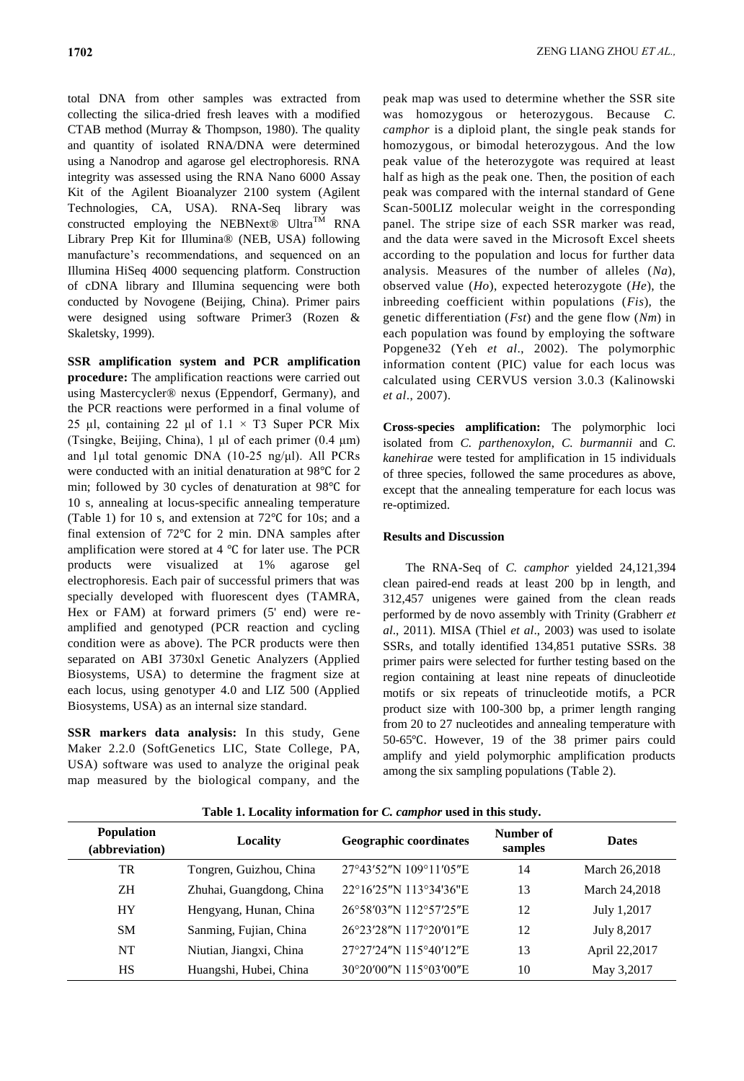total DNA from other samples was extracted from collecting the silica-dried fresh leaves with a modified CTAB method (Murray & Thompson, 1980). The quality and quantity of isolated RNA/DNA were determined using a Nanodrop and agarose gel electrophoresis. RNA integrity was assessed using the RNA Nano 6000 Assay Kit of the Agilent Bioanalyzer 2100 system (Agilent Technologies, CA, USA). RNA-Seq library was constructed employing the NEBNext® Ultra<sup>TM</sup> RNA Library Prep Kit for Illumina® (NEB, USA) following manufacture's recommendations, and sequenced on an Illumina HiSeq 4000 sequencing platform. Construction of cDNA library and Illumina sequencing were both conducted by Novogene (Beijing, China). Primer pairs were designed using software Primer3 (Rozen & Skaletsky, 1999).

**SSR amplification system and PCR amplification procedure:** The amplification reactions were carried out using Mastercycler® nexus (Eppendorf, Germany), and the PCR reactions were performed in a final volume of 25 μl, containing 22 μl of  $1.1 \times T3$  Super PCR Mix (Tsingke, Beijing, China), 1 μl of each primer (0.4 μm) and 1μl total genomic DNA (10-25 ng/μl). All PCRs were conducted with an initial denaturation at 98℃ for 2 min; followed by 30 cycles of denaturation at 98℃ for 10 s, annealing at locus-specific annealing temperature (Table 1) for 10 s, and extension at 72℃ for 10s; and a final extension of 72℃ for 2 min. DNA samples after amplification were stored at 4 ℃ for later use. The PCR products were visualized at 1% agarose gel electrophoresis. Each pair of successful primers that was specially developed with fluorescent dyes (TAMRA, Hex or FAM) at forward primers (5' end) were reamplified and genotyped (PCR reaction and cycling condition were as above). The PCR products were then separated on ABI 3730xl Genetic Analyzers (Applied Biosystems, USA) to determine the fragment size at each locus, using genotyper 4.0 and LIZ 500 (Applied Biosystems, USA) as an internal size standard.

**SSR markers data analysis:** In this study, Gene Maker 2.2.0 (SoftGenetics LIC, State College, PA, USA) software was used to analyze the original peak map measured by the biological company, and the peak map was used to determine whether the SSR site was homozygous or heterozygous. Because *C. camphor* is a diploid plant, the single peak stands for homozygous, or bimodal heterozygous. And the low peak value of the heterozygote was required at least half as high as the peak one. Then, the position of each peak was compared with the internal standard of Gene Scan-500LIZ molecular weight in the corresponding panel. The stripe size of each SSR marker was read, and the data were saved in the Microsoft Excel sheets according to the population and locus for further data analysis. Measures of the number of alleles (*Na*), observed value (*Ho*), expected heterozygote (*He*), the inbreeding coefficient within populations (*Fis*), the genetic differentiation (*Fst*) and the gene flow (*Nm*) in each population was found by employing the software Popgene32 (Yeh *et al*., 2002). The polymorphic information content (PIC) value for each locus was calculated using CERVUS version 3.0.3 (Kalinowski *et al*., 2007).

**Cross-species amplification:** The polymorphic loci isolated from *C. parthenoxylon*, *C. burmannii* and *C. kanehirae* were tested for amplification in 15 individuals of three species, followed the same procedures as above, except that the annealing temperature for each locus was re-optimized.

## **Results and Discussion**

The RNA-Seq of *C. camphor* yielded 24,121,394 clean paired-end reads at least 200 bp in length, and 312,457 unigenes were gained from the clean reads performed by de novo assembly with Trinity (Grabherr *et al*., 2011). MISA (Thiel *et al*., 2003) was used to isolate SSRs, and totally identified 134,851 putative SSRs. 38 primer pairs were selected for further testing based on the region containing at least nine repeats of dinucleotide motifs or six repeats of trinucleotide motifs, a PCR product size with 100-300 bp, a primer length ranging from 20 to 27 nucleotides and annealing temperature with 50-65℃. However, 19 of the 38 primer pairs could amplify and yield polymorphic amplification products among the six sampling populations (Table 2).

| <b>Population</b><br>(abbreviation) | Locality                 | <b>Geographic coordinates</b> | Number of<br>samples | <b>Dates</b>  |
|-------------------------------------|--------------------------|-------------------------------|----------------------|---------------|
| TR                                  | Tongren, Guizhou, China  | 27°43'52"N 109°11'05"E        | 14                   | March 26,2018 |
| <b>ZH</b>                           | Zhuhai, Guangdong, China | 22°16'25"N 113°34'36"E        | 13                   | March 24,2018 |
| <b>HY</b>                           | Hengyang, Hunan, China   | 26°58′03″N 112°57′25″E        | 12                   | July 1,2017   |
| <b>SM</b>                           | Sanming, Fujian, China   | 26°23'28"N 117°20'01"E        | 12                   | July 8,2017   |
| <b>NT</b>                           | Niutian, Jiangxi, China  | 27°27'24"N 115°40'12"E        | 13                   | April 22,2017 |
| <b>HS</b>                           | Huangshi, Hubei, China   | 30°20′00″N 115°03′00″E        | 10                   | May 3,2017    |

**Table 1. Locality information for** *C. camphor* **used in this study.**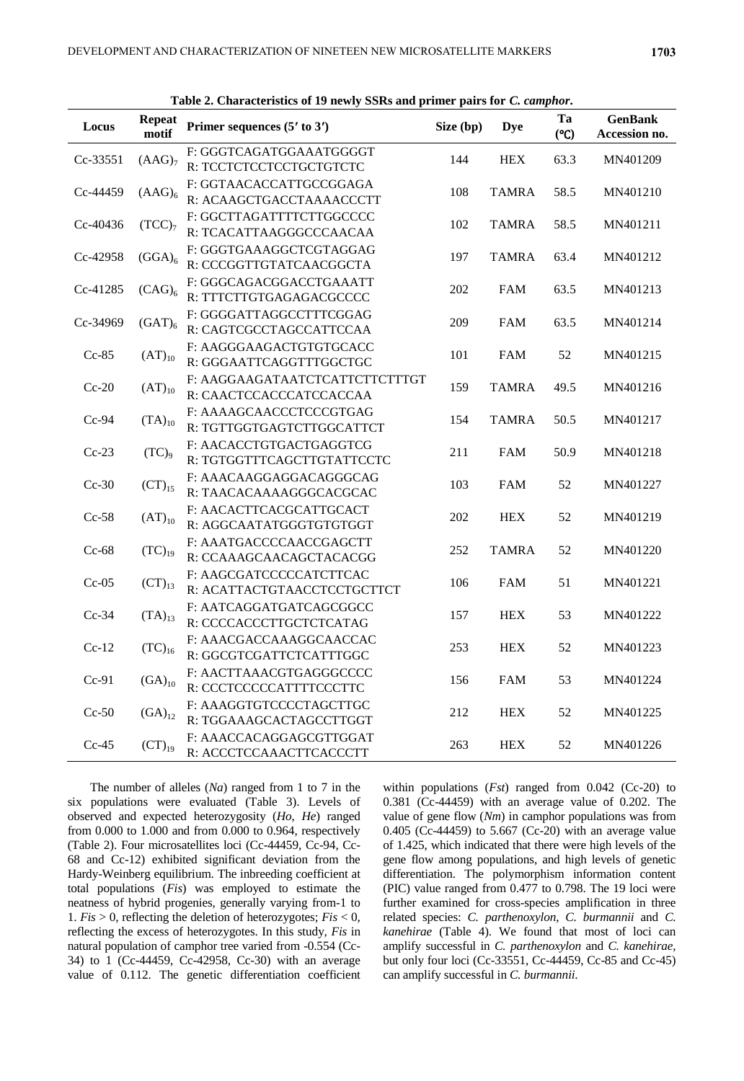| Locus    | <b>Repeat</b><br>motif | Table 2. Characteristics of 12 flowly boles and primer pairs for C. Camphon.<br>Primer sequences $(5' \text{ to } 3')$ | Size (bp) | <b>Dye</b>   | Ta<br>(C <sup>o</sup> ) | <b>GenBank</b><br>Accession no. |
|----------|------------------------|------------------------------------------------------------------------------------------------------------------------|-----------|--------------|-------------------------|---------------------------------|
| Cc-33551 | (AdG) <sub>7</sub>     | F: GGGTCAGATGGAAATGGGGT<br>R: TCCTCTCCTCCTGCTGTCTC                                                                     | 144       | <b>HEX</b>   | 63.3                    | MN401209                        |
| Cc-44459 | $(AdG)_6$              | F: GGTAACACCATTGCCGGAGA<br>R: ACAAGCTGACCTAAAACCCTT                                                                    | 108       | <b>TAMRA</b> | 58.5                    | MN401210                        |
| Cc-40436 | $(TCC)_{7}$            | F: GGCTTAGATTTTCTTGGCCCC<br>R: TCACATTAAGGGCCCAACAA                                                                    | 102       | <b>TAMRA</b> | 58.5                    | MN401211                        |
| Cc-42958 | $(GGA)_6$              | F: GGGTGAAAGGCTCGTAGGAG<br>R: CCCGGTTGTATCAACGGCTA                                                                     | 197       | <b>TAMRA</b> | 63.4                    | MN401212                        |
| Cc-41285 | $(CAG)_6$              | F: GGGCAGACGGACCTGAAATT<br>R: TTTCTTGTGAGAGACGCCCC                                                                     | 202       | FAM          | 63.5                    | MN401213                        |
| Cc-34969 | $(GAT)_{6}$            | F: GGGGATTAGGCCTTTCGGAG<br>R: CAGTCGCCTAGCCATTCCAA                                                                     | 209       | <b>FAM</b>   | 63.5                    | MN401214                        |
| $Cc-85$  | $(AT)_{10}$            | F: AAGGGAAGACTGTGTGCACC<br>R: GGGAATTCAGGTTTGGCTGC                                                                     | 101       | <b>FAM</b>   | 52                      | MN401215                        |
| $Cc-20$  | $(AT)_{10}$            | F: AAGGAAGATAATCTCATTCTTCTTTGT<br>R: CAACTCCACCCATCCACCAA                                                              | 159       | <b>TAMRA</b> | 49.5                    | MN401216                        |
| $Cc-94$  | $(TA)_{10}$            | F: AAAAGCAACCCTCCCGTGAG<br>R: TGTTGGTGAGTCTTGGCATTCT                                                                   | 154       | <b>TAMRA</b> | 50.5                    | MN401217                        |
| $Cc-23$  | $(TC)_9$               | F: AACACCTGTGACTGAGGTCG<br>R: TGTGGTTTCAGCTTGTATTCCTC                                                                  | 211       | <b>FAM</b>   | 50.9                    | MN401218                        |
| $Cc-30$  | $(CT)_{15}$            | F: AAACAAGGAGGACAGGGCAG<br>R: TAACACAAAAGGGCACGCAC                                                                     | 103       | <b>FAM</b>   | 52                      | MN401227                        |
| $Cc-58$  | $(AT)_{10}$            | F: AACACTTCACGCATTGCACT<br>R: AGGCAATATGGGTGTGTGGT                                                                     | 202       | <b>HEX</b>   | 52                      | MN401219                        |
| $Cc-68$  | $(TC)_{19}$            | F: AAATGACCCCAACCGAGCTT<br>R: CCAAAGCAACAGCTACACGG                                                                     | 252       | <b>TAMRA</b> | 52                      | MN401220                        |
| $Cc-05$  | $(CT)_{13}$            | F: AAGCGATCCCCCATCTTCAC<br>R: ACATTACTGTAACCTCCTGCTTCT                                                                 | 106       | FAM          | 51                      | MN401221                        |
| $Cc-34$  | $(TA)_{13}$            | F: AATCAGGATGATCAGCGGCC<br>R: CCCCACCCTTGCTCTCATAG                                                                     | 157       | <b>HEX</b>   | 53                      | MN401222                        |
| $Cc-12$  | $(TC)_{16}$            | F: AAACGACCAAAGGCAACCAC<br>R: GGCGTCGATTCTCATTTGGC                                                                     | 253       | <b>HEX</b>   | 52                      | MN401223                        |
| $Cc-91$  | $(GA)_{10}$            | F: AACTTAAACGTGAGGGCCCC<br>R: CCCTCCCCCATTTTCCCTTC                                                                     | 156       | FAM          | 53                      | MN401224                        |
| $Cc-50$  | $(GA)_{12}$            | F: AAAGGTGTCCCCTAGCTTGC<br>R: TGGAAAGCACTAGCCTTGGT                                                                     | 212       | <b>HEX</b>   | 52                      | MN401225                        |
| $Cc-45$  | $(CT)_{19}$            | F: AAACCACAGGAGCGTTGGAT<br>R: ACCCTCCAAACTTCACCCTT                                                                     | 263       | <b>HEX</b>   | 52                      | MN401226                        |

**Table 2. Characteristics of 19 newly SSRs and primer pairs for** *C. camphor***.**

The number of alleles (*Na*) ranged from 1 to 7 in the six populations were evaluated (Table 3). Levels of observed and expected heterozygosity (*Ho*, *He*) ranged from 0.000 to 1.000 and from 0.000 to 0.964, respectively (Table 2). Four microsatellites loci (Cc-44459, Cc-94, Cc-68 and Cc-12) exhibited significant deviation from the Hardy-Weinberg equilibrium. The inbreeding coefficient at total populations (*Fis*) was employed to estimate the neatness of hybrid progenies, generally varying from-1 to 1. *Fis* > 0, reflecting the deletion of heterozygotes; *Fis* < 0, reflecting the excess of heterozygotes. In this study, *Fis* in natural population of camphor tree varied from -0.554 (Cc-34) to 1 (Cc-44459, Cc-42958, Cc-30) with an average value of 0.112. The genetic differentiation coefficient within populations (*Fst*) ranged from 0.042 (Cc-20) to 0.381 (Cc-44459) with an average value of 0.202. The value of gene flow (*Nm*) in camphor populations was from 0.405 (Cc-44459) to 5.667 (Cc-20) with an average value of 1.425, which indicated that there were high levels of the gene flow among populations, and high levels of genetic differentiation. The polymorphism information content (PIC) value ranged from 0.477 to 0.798. The 19 loci were further examined for cross-species amplification in three related species: *C. parthenoxylon*, *C. burmannii* and *C. kanehirae* (Table 4). We found that most of loci can amplify successful in *C. parthenoxylon* and *C. kanehirae*, but only four loci (Cc-33551, Cc-44459, Cc-85 and Cc-45) can amplify successful in *C. burmannii*.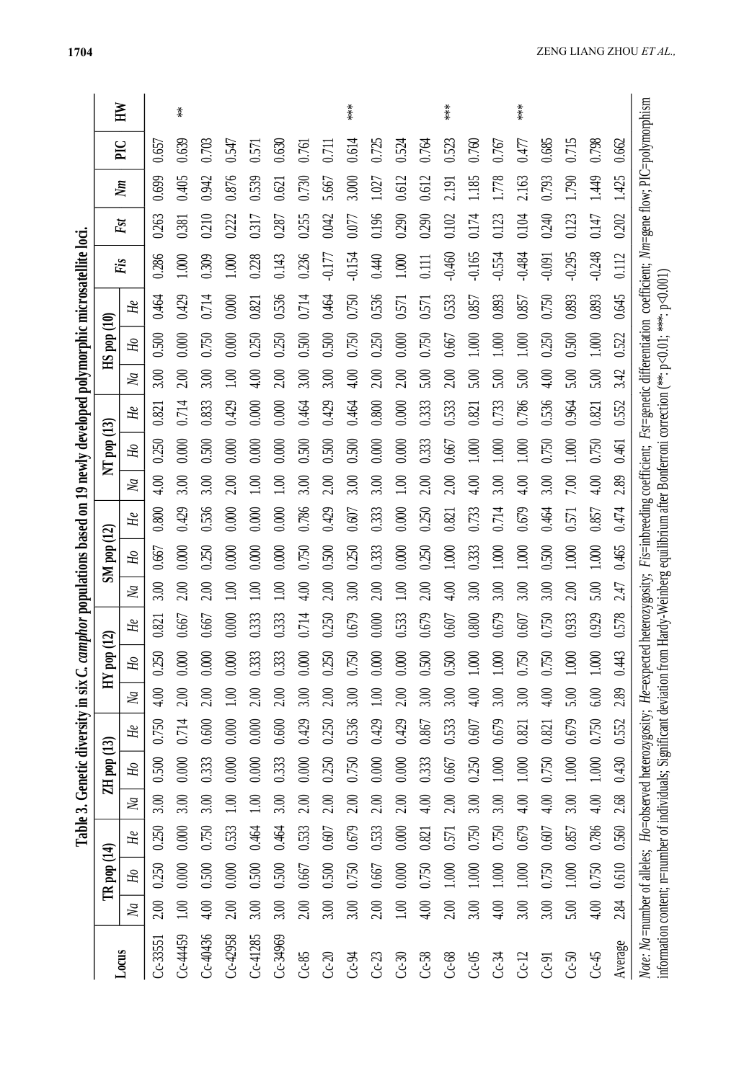| í                       |  |
|-------------------------|--|
|                         |  |
|                         |  |
|                         |  |
|                         |  |
|                         |  |
| ļ                       |  |
|                         |  |
|                         |  |
|                         |  |
|                         |  |
| ļ                       |  |
|                         |  |
| i                       |  |
| i<br>ξ<br>3<br>I        |  |
| ä<br>į<br>i<br>f,       |  |
| ζ<br>ļ<br>í             |  |
| 1<br>¢<br>I<br>ลี่<br>i |  |

|                                                                                                                                                       |                |                 |         |                |                 |       |                |            | Table 3. Genetic diversity in six C. camphor populations based on 19 newly developed polymorphic microsatellite loci. |                  |                 |                                                                                                                                                                                                         |                  |                 |       |                  |                     |       |          |       |                  |       |                           |
|-------------------------------------------------------------------------------------------------------------------------------------------------------|----------------|-----------------|---------|----------------|-----------------|-------|----------------|------------|-----------------------------------------------------------------------------------------------------------------------|------------------|-----------------|---------------------------------------------------------------------------------------------------------------------------------------------------------------------------------------------------------|------------------|-----------------|-------|------------------|---------------------|-------|----------|-------|------------------|-------|---------------------------|
|                                                                                                                                                       |                | $TR$ pop $(14)$ |         |                | $ZH$ pop $(13)$ |       |                | $HY$ pop ( | $\mathbf{\Omega}$                                                                                                     |                  | $SM$ pop $(12)$ |                                                                                                                                                                                                         |                  | $NT$ pop $(13)$ |       |                  | $\rm HS$ pop $(10)$ |       | Fis      | Fst   |                  | PIC   | $\mathbb{H}^{\mathbb{N}}$ |
| Locus                                                                                                                                                 | $\overline{M}$ | Я               | He      | $\overline{M}$ | Я               | He    | $\overline{M}$ | Я          | He                                                                                                                    | $\overline{M}$   | H <sub>0</sub>  | He                                                                                                                                                                                                      | $\overline{M}$   | Ho              | He    | $\overline{M}$   | H <sub>0</sub>      | He    |          |       | $\sum_{i=1}^{n}$ |       |                           |
| $Cc-3355$                                                                                                                                             | 2.00           | 0.250           | 0.250   | 3.00           | 0.500           | 0.750 | 4.00           | 0.250      | 0.821                                                                                                                 | 3.00             | 0.667           | 0.800                                                                                                                                                                                                   | 4.00             | 0.250           | 0.821 | 3.00             | 0.500               | 0.464 | 0.286    | 0.263 | 0.699            | 0.657 |                           |
| Cc-44459                                                                                                                                              | 1.00           | 0.000           | 0.000   | 3.00           | 0.000           | 0.714 | 2.00           | 0.000      | 0.667                                                                                                                 | 2.00             | 0.000           | 0.429                                                                                                                                                                                                   | 3.00             | 0.000           | 0.714 | 2.00             | 0.000               | 0.429 | 1.000    | 0.381 | 0.405            | 0.639 | $\stackrel{*}{*}$         |
| $Cc - 40436$                                                                                                                                          | 4.00           | 0.500           | 0.750   | 3.00           | 0.333           | 0.600 | 2.00           | 0.000      | 0.667                                                                                                                 | 2.00             | 0.250           | 0.536                                                                                                                                                                                                   | 3.00             | 0.500           | 0.833 | 3.00             | 0.750               | 0.714 | 0.309    | 0.210 | 0.942            | 0.703 |                           |
| $Cc-42958$                                                                                                                                            | 2.00           | 0.000           | 0.533   | $\Xi$          | 0.000           | 0.000 | 60             | 0.000      | 0.000                                                                                                                 | $\sum_{i=1}^{n}$ | 0.000           | 0.000                                                                                                                                                                                                   | 2.00             | 0.000           | 0.429 | $\sum_{i=1}^{n}$ | 0.000               | 0.000 | 1.000    | 0.222 | 0.876            | 0.547 |                           |
| $Cc-41285$                                                                                                                                            | 3.00           | 0.500           | 0.464   | $\Xi$          | 0.000           | 0.000 | 2.00           | 0.333      | 0.333                                                                                                                 | $\sum_{i=1}^{n}$ | 0.000           | 0.000                                                                                                                                                                                                   | $\Xi$            | 0.000           | 0.000 | 4.00             | 0.250               | 0.821 | 0.228    | 0.317 | 0.539            | 0.571 |                           |
| $Cc-34969$                                                                                                                                            | 3.00           | 0.500           | 0.464   | 3.00           | 0.333           | 0.600 | 2.00           | 0.333      | 0.333                                                                                                                 | $\sum_{i=1}^{n}$ | 0.000           | 0.000                                                                                                                                                                                                   | $\sum_{i=1}^{n}$ | 0.000           | 0.000 | 2.00             | 0.250               | 0.536 | 0.143    | 0.287 | 0.621            | 0.630 |                           |
| $Cc-85$                                                                                                                                               | 2.00           | 0.667           | 0.533   | 2.00           | 0.000           | 0.429 | 3.00           | 0.000      | 0.714                                                                                                                 | $\approx 10$     | 0.750           | 0.786                                                                                                                                                                                                   | 3.00             | 0.500           | 0.464 | 3.00             | 0.500               | 0.714 | 0.236    | 0.255 | 0.730            | 0.761 |                           |
| $Cc-20$                                                                                                                                               | 3.00           | 0.500           | 0.607   | 2.00           | 0.250           | 0.250 | 2.00           | 0.250      | 0.250                                                                                                                 | 2.00             | 0.500           | 0.429                                                                                                                                                                                                   | 2.00             | 0.500           | 0.429 | 3.00             | 0.500               | 0.464 | $-0.177$ | 0.042 | 5.667            | 0.711 |                           |
| $Cc-94$                                                                                                                                               | 3.00           | 0.750           | $0.679$ | 2.00           | 0.750           | 0.536 | 3.00           | 0.750      | 0.679                                                                                                                 | 3.00             | 0.250           | 0.607                                                                                                                                                                                                   | 3.00             | 0.500           | 0.464 | 4.00             | 0.750               | 0.750 | $-0.154$ | 0.077 | 3.000            | 0.614 | ***                       |
| $Cc-23$                                                                                                                                               | 2.00           | 0.667           | 0.533   | 2.00           | 0.000           | 0.429 | 1.00           | 0.000      | 0.000                                                                                                                 | 2.00             | 0.333           | 0.333                                                                                                                                                                                                   | 3.00             | 0.000           | 0.800 | 2.00             | 0.250               | 0.536 | 0.440    | 0.196 | 1.027            | 0.725 |                           |
| $Cc-30$                                                                                                                                               | 1.00           | 0.000           | 0.000   | 2.00           | 0.000           | 0.429 | 2.00           | 0.000      | 0.533                                                                                                                 | $\sum_{i=1}^{n}$ | 0.000           | 0.000                                                                                                                                                                                                   | $\sum_{i=1}^{n}$ | 0.000           | 0.000 | 2.00             | 0.000               | 0.571 | 1.000    | 0.290 | 0.612            | 0.524 |                           |
| $Cc-58$                                                                                                                                               | 4.00           | 0.750           | 0.821   | 4.00           | 0.333           | 0.867 | 3.00           | 0.500      | 0.679                                                                                                                 | 2.00             | 0.250           | 0.250                                                                                                                                                                                                   | 2.00             | 0.333           | 0.333 | 5.00             | 0.750               | 0.571 | 0.111    | 0.290 | 0.612            | 0.764 |                           |
| $Cc-68$                                                                                                                                               | 2.00           | 1.000           | 0.571   | 2.00           | 0.667           | 0.533 | 3.00           | 0.500      | 0.607                                                                                                                 | 4.00             | 1.000           | 0.821                                                                                                                                                                                                   | 2.00             | 0.667           | 0.533 | 2.00             | 0.667               | 0.533 | $-0.460$ | 0.102 | 2.191            | 0.523 | $***$                     |
| $Cc-05$                                                                                                                                               | 3.00           | 1.000           | 0.750   | 3.00           | 0.250           | 0.607 | 4.00           | 1.000      | 0.800                                                                                                                 | 3.00             | 0.333           | 0.733                                                                                                                                                                                                   | 4.00             | 1.000           | 0.821 | 5.00             | 1.000               | 0.857 | $-0.165$ | 0.174 | 1.185            | 0.760 |                           |
| $Cc-34$                                                                                                                                               | 4.00           | 1.000           | 0.750   | 3.00           | 1.000           | 0.679 | 3.00           | 1.000      | 0.679                                                                                                                 | 3.00             | 1.000           | 0.714                                                                                                                                                                                                   | 3.00             | 1.000           | 0.733 | 5.00             | 1.000               | 0.893 | $-0.554$ | 0.123 | 1.778            | 0.767 |                           |
| $Cc-12$                                                                                                                                               | 3.00           | 1.000           | 0.679   | 4.00           | 1.000           | 0.821 | 3.00           | 0.750      | 0.607                                                                                                                 | 3.00             | 1.000           | 0.679                                                                                                                                                                                                   | 4.00             | 1.000           | 0.786 | 5.00             | 1.000               | 0.857 | $-0.484$ | 0.104 | 2.163            | 0.477 | $***$                     |
| <b>C-91</b>                                                                                                                                           | 3.00           | 0.750           | 0.607   | 4.00           | 0.750           | 0.821 | 4.00           | 0.750      | 0.750                                                                                                                 | 3.00             | 0.500           | 0.464                                                                                                                                                                                                   | 3.00             | 0.750           | 0.536 | 4.00             | 0.250               | 0.750 | $-0.091$ | 0.240 | 0.793            | 0.685 |                           |
| $Cc-50$                                                                                                                                               | 5.00           | 1.000           | 0.857   | 3.00           | 1.000           | 0.679 | 5.00           | 1.000      | 0.933                                                                                                                 | 2.00             | 1.000           | 0.571                                                                                                                                                                                                   | 7.00             | 1.000           | 0.964 | 5.00             | 0.500               | 0.893 | $-0.295$ | 0.123 | 1.790            | 0.715 |                           |
| $Cc-45$                                                                                                                                               | 4.00           | 0.750           | 0.786   | 4.00           | 1.000           | 0.750 | 6.00           | 1.000      | 0.929                                                                                                                 | 5.00             | 1.000           | 0.857                                                                                                                                                                                                   | 4.00             | 0.750           | 0.821 | 5.00             | 1.000               | 0.893 | $-0.248$ | 0.147 | 1.449            | 0.798 |                           |
| Average                                                                                                                                               | 2.84           | 0.610           | 0.560   | 2.68           | 0.430           | 0.552 | 2.89           | 0.443      | 0.578                                                                                                                 | 2.47             | 0.465           | 0.474                                                                                                                                                                                                   | 2.89             | 0.461           | 0.552 | 3.42             | 0.522               | 0.645 | 0.112    | 0.202 | 1.425            | 0.662 |                           |
| Note: Na=number of alleles; $Ho$ =observed heterozygosity; $He$ =expected<br>information content; n=number of individuals; Significant deviation from |                |                 |         |                |                 |       |                |            |                                                                                                                       |                  |                 | heterozygosity; Fis=inbreeding coefficient; Fst=genetic differentiation coefficient; Nm=gene flow; PIC=polymorphism<br>Hardy-Weinberg equilibrium after Bonferroni correction (**: p<0.01; *** p<0.001) |                  |                 |       |                  |                     |       |          |       |                  |       |                           |